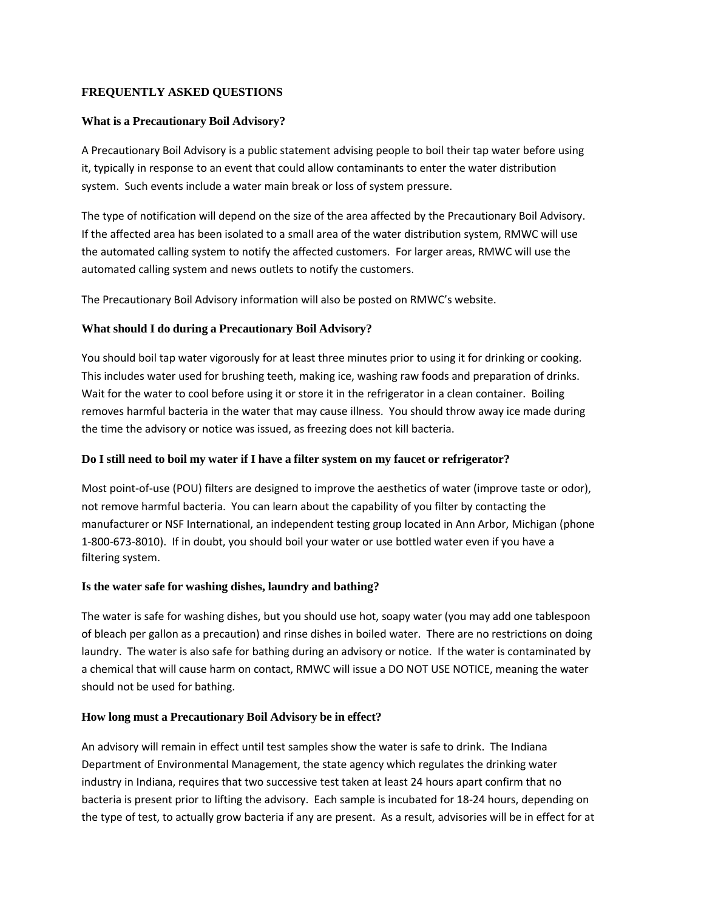## **FREQUENTLY ASKED QUESTIONS**

### **What is a Precautionary Boil Advisory?**

A Precautionary Boil Advisory is a public statement advising people to boil their tap water before using it, typically in response to an event that could allow contaminants to enter the water distribution system. Such events include a water main break or loss of system pressure.

The type of notification will depend on the size of the area affected by the Precautionary Boil Advisory. If the affected area has been isolated to a small area of the water distribution system, RMWC will use the automated calling system to notify the affected customers. For larger areas, RMWC will use the automated calling system and news outlets to notify the customers.

The Precautionary Boil Advisory information will also be posted on RMWC's website.

## **What should I do during a Precautionary Boil Advisory?**

You should boil tap water vigorously for at least three minutes prior to using it for drinking or cooking. This includes water used for brushing teeth, making ice, washing raw foods and preparation of drinks. Wait for the water to cool before using it or store it in the refrigerator in a clean container. Boiling removes harmful bacteria in the water that may cause illness. You should throw away ice made during the time the advisory or notice was issued, as freezing does not kill bacteria.

## **Do I still need to boil my water if I have a filter system on my faucet or refrigerator?**

Most point-of-use (POU) filters are designed to improve the aesthetics of water (improve taste or odor), not remove harmful bacteria. You can learn about the capability of you filter by contacting the manufacturer or NSF International, an independent testing group located in Ann Arbor, Michigan (phone 1‐800‐673‐8010). If in doubt, you should boil your water or use bottled water even if you have a filtering system.

### **Is the water safe for washing dishes, laundry and bathing?**

The water is safe for washing dishes, but you should use hot, soapy water (you may add one tablespoon of bleach per gallon as a precaution) and rinse dishes in boiled water. There are no restrictions on doing laundry. The water is also safe for bathing during an advisory or notice. If the water is contaminated by a chemical that will cause harm on contact, RMWC will issue a DO NOT USE NOTICE, meaning the water should not be used for bathing.

## **How long must a Precautionary Boil Advisory be in effect?**

An advisory will remain in effect until test samples show the water is safe to drink. The Indiana Department of Environmental Management, the state agency which regulates the drinking water industry in Indiana, requires that two successive test taken at least 24 hours apart confirm that no bacteria is present prior to lifting the advisory. Each sample is incubated for 18‐24 hours, depending on the type of test, to actually grow bacteria if any are present. As a result, advisories will be in effect for at